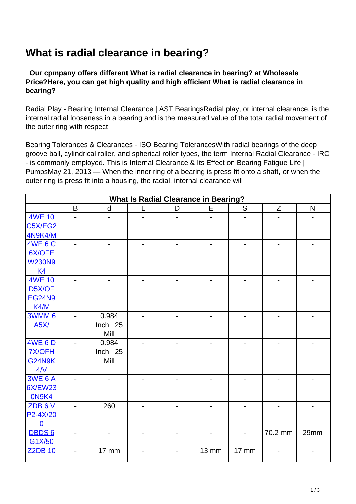## **What is radial clearance in bearing?**

 **Our cpmpany offers different What is radial clearance in bearing? at Wholesale Price?Here, you can get high quality and high efficient What is radial clearance in bearing?**

Radial Play - Bearing Internal Clearance | AST BearingsRadial play, or internal clearance, is the internal radial looseness in a bearing and is the measured value of the total radial movement of the outer ring with respect

Bearing Tolerances & Clearances - ISO Bearing TolerancesWith radial bearings of the deep groove ball, cylindrical roller, and spherical roller types, the term Internal Radial Clearance - IRC - is commonly employed. This is Internal Clearance & Its Effect on Bearing Fatigue Life | PumpsMay 21, 2013 — When the inner ring of a bearing is press fit onto a shaft, or when the outer ring is press fit into a housing, the radial, internal clearance will

|                     |   |                          | <b>What Is Radial Clearance in Bearing?</b> |                |              |       |         |              |
|---------------------|---|--------------------------|---------------------------------------------|----------------|--------------|-------|---------|--------------|
|                     | B | d                        | L                                           | D              | E            | S     | Z       | $\mathsf{N}$ |
| <b>4WE 10</b>       |   |                          |                                             |                |              |       |         |              |
| <b>C5X/EG2</b>      |   |                          |                                             |                |              |       |         |              |
| <b>4N9K4/M</b>      |   |                          |                                             |                |              |       |         |              |
| <b>4WE 6 C</b>      |   |                          |                                             |                |              |       |         |              |
| 6X/OFE              |   |                          |                                             |                |              |       |         |              |
| <b>W230N9</b>       |   |                          |                                             |                |              |       |         |              |
| <u>K4</u>           |   |                          |                                             |                |              |       |         |              |
| 4WE 10              |   | $\overline{\phantom{0}}$ |                                             |                | -            |       |         |              |
| D <sub>5</sub> X/OF |   |                          |                                             |                |              |       |         |              |
| <b>EG24N9</b>       |   |                          |                                             |                |              |       |         |              |
| K4/M                |   |                          |                                             |                |              |       |         |              |
| <b>3WMM6</b>        |   | 0.984                    |                                             | $\blacksquare$ | -            |       |         |              |
| <b>A5X/</b>         |   | Inch $ 25$               |                                             |                |              |       |         |              |
|                     |   | Mill                     |                                             |                |              |       |         |              |
| 4WE 6 D             |   | 0.984                    |                                             |                |              |       |         |              |
| <b>7X/OFH</b>       |   | Inch $ 25$               |                                             |                |              |       |         |              |
| <b>G24N9K</b>       |   | Mill                     |                                             |                |              |       |         |              |
| 4/N                 |   |                          |                                             |                |              |       |         |              |
| <b>3WE 6 A</b>      |   |                          |                                             |                |              |       |         |              |
| <b>6X/EW23</b>      |   |                          |                                             |                |              |       |         |              |
| <b>ON9K4</b>        |   |                          |                                             |                |              |       |         |              |
| ZDB 6 V             |   | 260                      |                                             |                |              |       |         |              |
| P2-4X/20            |   |                          |                                             |                |              |       |         |              |
| $\mathbf 0$         |   |                          |                                             |                |              |       |         |              |
| <b>DBDS6</b>        |   |                          |                                             |                |              |       | 70.2 mm | 29mm         |
| G1X/50              |   |                          |                                             |                |              |       |         |              |
| <b>Z2DB 10</b>      |   | 17 mm                    |                                             |                | <b>13 mm</b> | 17 mm |         |              |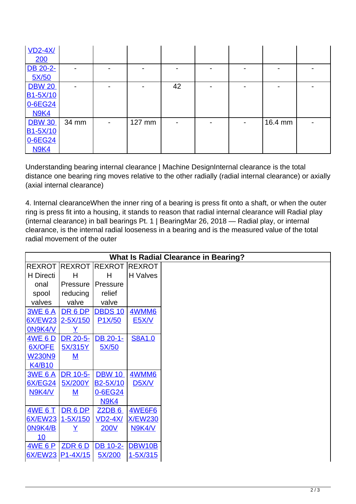| $VD2-4X/$             |                          |                          |        |    |  |         |  |
|-----------------------|--------------------------|--------------------------|--------|----|--|---------|--|
| 200                   |                          |                          |        |    |  |         |  |
| DB 20-2-              |                          |                          |        |    |  |         |  |
| 5X/50                 |                          |                          |        |    |  |         |  |
| <b>DBW 20</b>         | $\overline{\phantom{0}}$ |                          |        | 42 |  |         |  |
| B <sub>1</sub> -5X/10 |                          |                          |        |    |  |         |  |
| 0-6EG24               |                          |                          |        |    |  |         |  |
| <b>N9K4</b>           |                          |                          |        |    |  |         |  |
| <b>DBW 30</b>         | 34 mm                    | $\overline{\phantom{a}}$ | 127 mm |    |  | 16.4 mm |  |
| B1-5X/10              |                          |                          |        |    |  |         |  |
| 0-6EG24               |                          |                          |        |    |  |         |  |
| <b>N9K4</b>           |                          |                          |        |    |  |         |  |

Understanding bearing internal clearance | Machine DesignInternal clearance is the total distance one bearing ring moves relative to the other radially (radial internal clearance) or axially (axial internal clearance)

4. Internal clearanceWhen the inner ring of a bearing is press fit onto a shaft, or when the outer ring is press fit into a housing, it stands to reason that radial internal clearance will Radial play (internal clearance) in ball bearings Pt. 1 | BearingMar 26, 2018 — Radial play, or internal clearance, is the internal radial looseness in a bearing and is the measured value of the total radial movement of the outer

|                  |               |                       |                | <b>What Is Radial Clearance in Bearing?</b> |
|------------------|---------------|-----------------------|----------------|---------------------------------------------|
| <b>REXROT</b>    | <b>REXROT</b> | <b>REXROT</b>         | <b>REXROT</b>  |                                             |
| H Directi        | н             | Н                     | H Valves       |                                             |
| onal             | Pressure      | Pressure              |                |                                             |
| spool            | reducing      | relief                |                |                                             |
| valves           | valve         | valve                 |                |                                             |
| <b>3WE 6 A</b>   | DR 6 DP       | <b>DBDS 10</b>        | 4WMM6          |                                             |
| <b>6X/EW23</b>   | $2 - 5X/150$  | P <sub>1</sub> X/50   | <b>E5X/V</b>   |                                             |
| ON9K4/V          | Y             |                       |                |                                             |
| 4WE 6 D          | DR 20-5-      | DB 20-1-              | <b>S8A1.0</b>  |                                             |
| <b>6X/OFE</b>    | 5X/315Y       | 5X/50                 |                |                                             |
| <b>W230N9</b>    | ${\sf M}$     |                       |                |                                             |
| <b>K4/B10</b>    |               |                       |                |                                             |
| <b>3WE 6 A</b>   | DR 10-5-      | <b>DBW 10</b>         | <b>4WMM6</b>   |                                             |
| <b>6X/EG24</b>   | 5X/200Y       | B <sub>2</sub> -5X/10 | <b>D5X/V</b>   |                                             |
| N9K4/V           | ${\bf M}$     | 0-6EG24               |                |                                             |
|                  |               | <b>N9K4</b>           |                |                                             |
| <b>4WE 6 T</b>   | DR 6 DP       | Z2DB6                 | <b>4WE6F6</b>  |                                             |
| <b>6X/EW23</b>   | $1 - 5X/150$  | <b>VD2-4X/</b>        | <b>X/EW230</b> |                                             |
| ON9K4/B          | Y             | <b>200V</b>           | <b>N9K4/V</b>  |                                             |
| 10               |               |                       |                |                                             |
| <u>4WE 6 P</u>   | ZDR 6D        | DB 10-2-              | <b>DBW10B</b>  |                                             |
| 6X/EW23 P1-4X/15 |               | 5X/200                | 1-5X/315       |                                             |